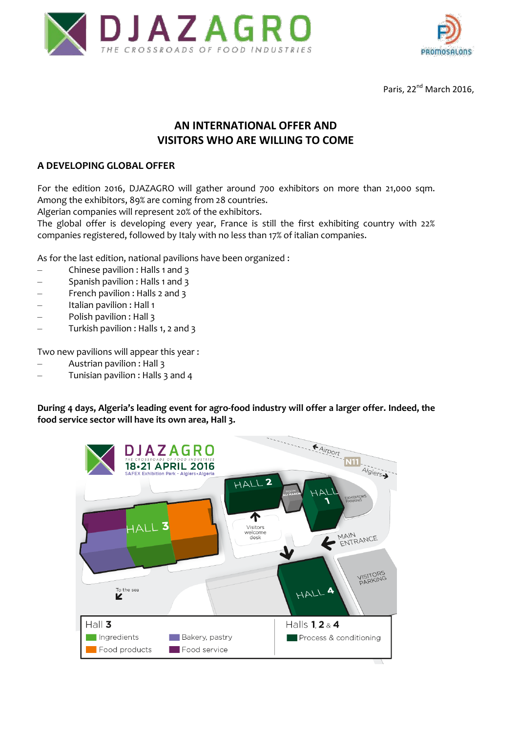



Paris, 22<sup>nd</sup> March 2016,

## **AN INTERNATIONAL OFFER AND VISITORS WHO ARE WILLING TO COME**

#### **A DEVELOPING GLOBAL OFFER**

For the edition 2016, DJAZAGRO will gather around 700 exhibitors on more than 21,000 sqm. Among the exhibitors, 89% are coming from 28 countries.

Algerian companies will represent 20% of the exhibitors.

The global offer is developing every year, France is still the first exhibiting country with 22% companies registered, followed by Italy with no less than 17% of italian companies.

As for the last edition, national pavilions have been organized :

- Chinese pavilion : Halls 1 and 3
- Spanish pavilion : Halls 1 and 3
- French pavilion : Halls 2 and 3
- Italian pavilion : Hall 1
- Polish pavilion : Hall 3
- Turkish pavilion : Halls 1, 2 and 3

Two new pavilions will appear this year :

- Austrian pavilion : Hall 3
- Tunisian pavilion : Halls 3 and 4

**During 4 days, Algeria's leading event for agro-food industry will offer a larger offer. Indeed, the food service sector will have its own area, Hall 3.**

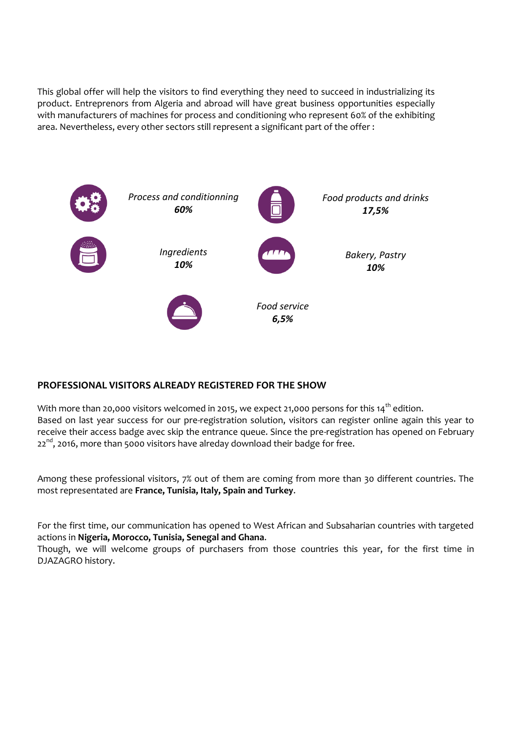This global offer will help the visitors to find everything they need to succeed in industrializing its product. Entreprenors from Algeria and abroad will have great business opportunities especially with manufacturers of machines for process and conditioning who represent 60% of the exhibiting area. Nevertheless, every other sectors still represent a significant part of the offer :



### **PROFESSIONAL VISITORS ALREADY REGISTERED FOR THE SHOW**

With more than 20,000 visitors welcomed in 2015, we expect 21,000 persons for this 14<sup>th</sup> edition. Based on last year success for our pre-registration solution, visitors can register online again this year to receive their access badge avec skip the entrance queue. Since the pre-registration has opened on February  $22<sup>nd</sup>$ , 2016, more than 5000 visitors have alreday download their badge for free.

Among these professional visitors, 7% out of them are coming from more than 30 different countries. The most representated are **France, Tunisia, Italy, Spain and Turkey**.

For the first time, our communication has opened to West African and Subsaharian countries with targeted actions in **Nigeria, Morocco, Tunisia, Senegal and Ghana**.

Though, we will welcome groups of purchasers from those countries this year, for the first time in DJAZAGRO history.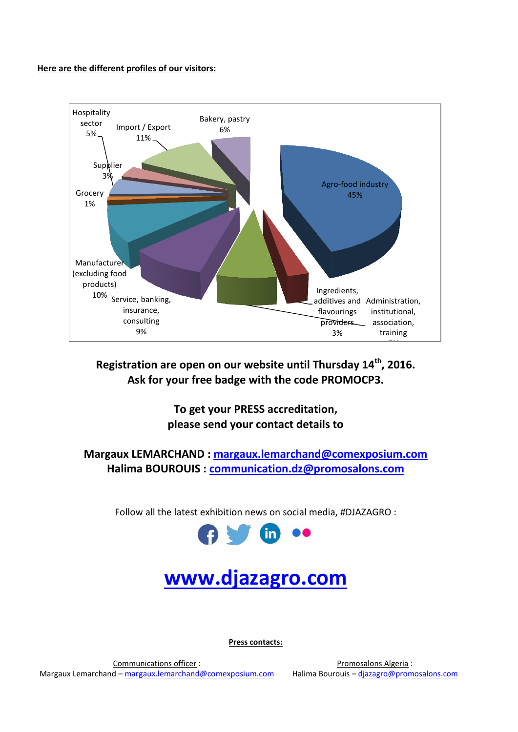#### **Here are the different profiles of our visitors:**



**Registration are open on our website until Thursday 14th, 2016. Ask for your free badge with the code PROMOCP3.**

> **To get your PRESS accreditation, please send your contact details to**

**Margaux LEMARCHAND : [margaux.lemarchand@comexposium.com](mailto:margaux.lemarchand@comexposium.com) Halima BOUROUIS : [communication.dz@promosalons.com](mailto:communication.dz@promosalons.com)**

Follow all the latest exhibition news on social media, #DJAZAGRO :



# **[www.djazagro.com](http://www.djazagro.com/)**

**Press contacts:**